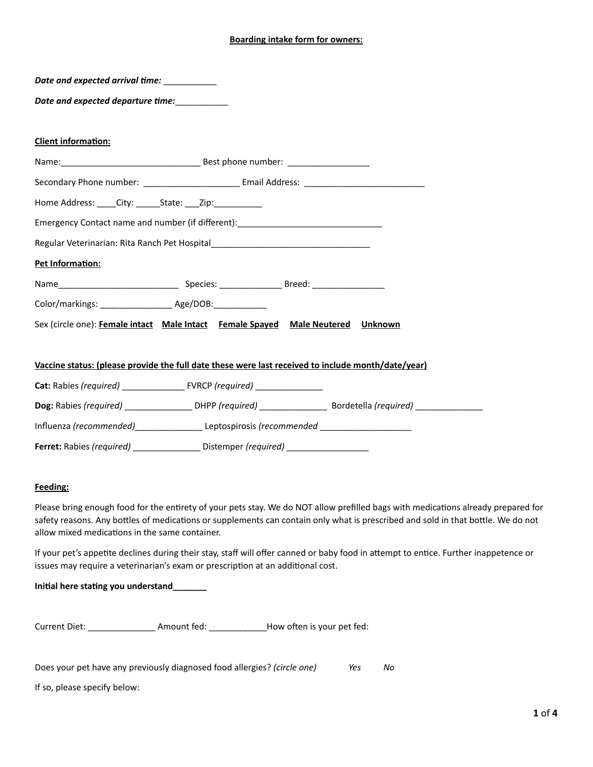# **Boarding intake form for owners:**

| Date and expected arrival time: ____________              |                                                                                                     |  |  |
|-----------------------------------------------------------|-----------------------------------------------------------------------------------------------------|--|--|
| Date and expected departure time:                         |                                                                                                     |  |  |
| <b>Client information:</b>                                |                                                                                                     |  |  |
|                                                           |                                                                                                     |  |  |
|                                                           |                                                                                                     |  |  |
| Home Address: ____City: ______State: ___Zip: ____________ |                                                                                                     |  |  |
|                                                           | Emergency Contact name and number (if different): ______________________________                    |  |  |
|                                                           | Regular Veterinarian: Rita Ranch Pet Hospital___________________________________                    |  |  |
| Pet Information:                                          |                                                                                                     |  |  |
|                                                           |                                                                                                     |  |  |
|                                                           |                                                                                                     |  |  |
|                                                           | Sex (circle one): Female intact Male Intact Female Spayed Male Neutered Unknown                     |  |  |
|                                                           |                                                                                                     |  |  |
|                                                           | Vaccine status: (please provide the full date these were last received to include month/date/year)  |  |  |
|                                                           |                                                                                                     |  |  |
|                                                           |                                                                                                     |  |  |
|                                                           | Influenza (recommended)___________________Leptospirosis (recommended ______________________________ |  |  |
|                                                           | Ferret: Rabies (required) ___________________ Distemper (required) _______________                  |  |  |

# **Feeding:**

Please bring enough food for the entirety of your pets stay. We do NOT allow prefilled bags with medications already prepared for safety reasons. Any bottles of medications or supplements can contain only what is prescribed and sold in that bottle. We do not allow mixed medications in the same container.

If your pet's appetite declines during their stay, staff will offer canned or baby food in attempt to entice. Further inappetence or issues may require a veterinarian's exam or prescription at an additional cost.

# **Initial here stating you understand\_\_\_\_\_\_\_**

| Current Diet: | Amount fed: | How often is your pet fed: |
|---------------|-------------|----------------------------|
|---------------|-------------|----------------------------|

Does your pet have any previously diagnosed food allergies? *(circle one) Yes No*

If so, please specify below: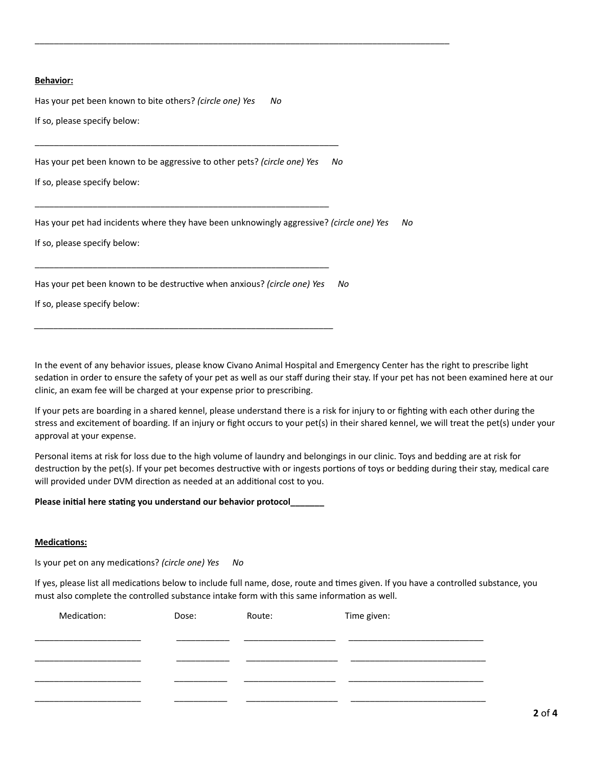### **Behavior:**

Has your pet been known to bite others? *(circle one) Yes No* If so, please specify below:

Has your pet been known to be aggressive to other pets? *(circle one) Yes No*

\_\_\_\_\_\_\_\_\_\_\_\_\_\_\_\_\_\_\_\_\_\_\_\_\_\_\_\_\_\_\_\_\_\_\_\_\_\_\_\_\_\_\_\_\_\_\_\_\_\_\_\_\_\_\_\_\_\_\_\_\_

\_\_\_\_\_\_\_\_\_\_\_\_\_\_\_\_\_\_\_\_\_\_\_\_\_\_\_\_\_\_\_\_\_\_\_\_\_\_\_\_\_\_\_\_\_\_\_\_\_\_\_\_\_\_\_\_\_\_\_\_\_

*\_\_\_\_\_\_\_\_\_\_\_\_\_\_\_\_\_\_\_\_\_\_\_\_\_\_\_\_\_\_\_\_\_\_\_\_\_\_\_\_\_\_\_\_\_\_\_\_\_\_\_\_\_\_\_\_\_\_\_\_\_\_*

\_\_\_\_\_\_\_\_\_\_\_\_\_\_\_\_\_\_\_\_\_\_\_\_\_\_\_\_\_\_\_\_\_\_\_\_\_\_\_\_\_\_\_\_\_\_\_\_\_\_\_\_\_\_\_\_\_\_\_\_\_\_\_

If so, please specify below:

Has your pet had incidents where they have been unknowingly aggressive? *(circle one) Yes No*

\_\_\_\_\_\_\_\_\_\_\_\_\_\_\_\_\_\_\_\_\_\_\_\_\_\_\_\_\_\_\_\_\_\_\_\_\_\_\_\_\_\_\_\_\_\_\_\_\_\_\_\_\_\_\_\_\_\_\_\_\_\_\_\_\_\_\_\_\_\_\_\_\_\_\_\_\_\_\_\_\_\_\_\_\_\_

If so, please specify below:

Has your pet been known to be destructive when anxious? *(circle one) Yes No*

If so, please specify below:

In the event of any behavior issues, please know Civano Animal Hospital and Emergency Center has the right to prescribe light sedation in order to ensure the safety of your pet as well as our staff during their stay. If your pet has not been examined here at our clinic, an exam fee will be charged at your expense prior to prescribing.

If your pets are boarding in a shared kennel, please understand there is a risk for injury to or fighting with each other during the stress and excitement of boarding. If an injury or fight occurs to your pet(s) in their shared kennel, we will treat the pet(s) under your approval at your expense.

Personal items at risk for loss due to the high volume of laundry and belongings in our clinic. Toys and bedding are at risk for destruction by the pet(s). If your pet becomes destructive with or ingests portions of toys or bedding during their stay, medical care will provided under DVM direction as needed at an additional cost to you.

### **Please initial here stating you understand our behavior protocol\_\_\_\_\_\_\_**

### **Medications:**

Is your pet on any medications? *(circle one) Yes No*

If yes, please list all medications below to include full name, dose, route and times given. If you have a controlled substance, you must also complete the controlled substance intake form with this same information as well.

| Medication: | Dose: | Route: | Time given: |
|-------------|-------|--------|-------------|
|             |       |        |             |
|             |       |        |             |
|             |       |        |             |
|             |       |        |             |
|             |       |        |             |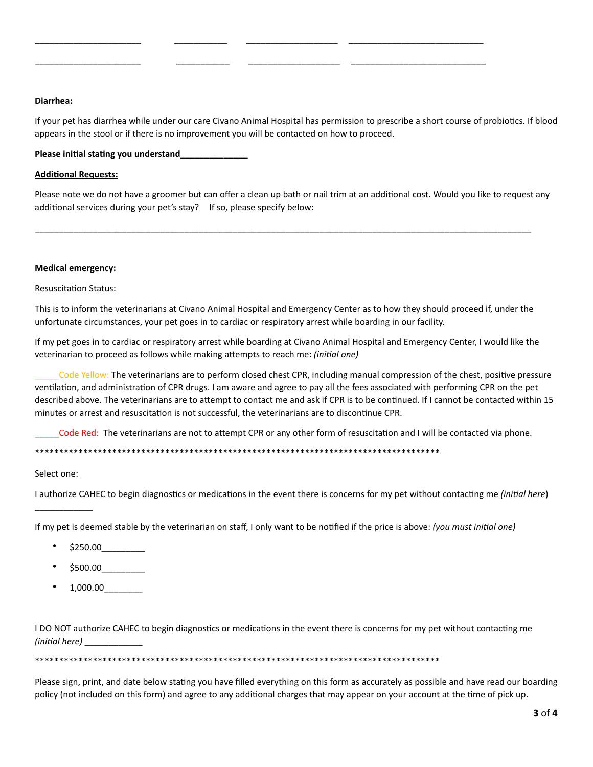# **Diarrhea:**

If your pet has diarrhea while under our care Civano Animal Hospital has permission to prescribe a short course of probiotics. If blood appears in the stool or if there is no improvement you will be contacted on how to proceed.

\_\_\_\_\_\_\_\_\_\_\_\_\_\_\_\_\_\_\_\_\_\_ \_\_\_\_\_\_\_\_\_\_\_ \_\_\_\_\_\_\_\_\_\_\_\_\_\_\_\_\_\_\_ \_\_\_\_\_\_\_\_\_\_\_\_\_\_\_\_\_\_\_\_\_\_\_\_\_\_\_\_

\_\_\_\_\_\_\_\_\_\_\_\_\_\_\_\_\_\_\_\_\_\_ \_\_\_\_\_\_\_\_\_\_\_ \_\_\_\_\_\_\_\_\_\_\_\_\_\_\_\_\_\_\_ \_\_\_\_\_\_\_\_\_\_\_\_\_\_\_\_\_\_\_\_\_\_\_\_\_\_\_\_

### **Please initial stating you understand\_\_\_\_\_\_\_\_\_\_\_\_\_\_**

### **Additional Requests:**

Please note we do not have a groomer but can offer a clean up bath or nail trim at an additional cost. Would you like to request any additional services during your pet's stay? If so, please specify below:

\_\_\_\_\_\_\_\_\_\_\_\_\_\_\_\_\_\_\_\_\_\_\_\_\_\_\_\_\_\_\_\_\_\_\_\_\_\_\_\_\_\_\_\_\_\_\_\_\_\_\_\_\_\_\_\_\_\_\_\_\_\_\_\_\_\_\_\_\_\_\_\_\_\_\_\_\_\_\_\_\_\_\_\_\_\_\_\_\_\_\_\_\_\_\_\_\_\_\_\_\_\_\_

### **Medical emergency:**

Resuscitation Status:

This is to inform the veterinarians at Civano Animal Hospital and Emergency Center as to how they should proceed if, under the unfortunate circumstances, your pet goes in to cardiac or respiratory arrest while boarding in our facility.

If my pet goes in to cardiac or respiratory arrest while boarding at Civano Animal Hospital and Emergency Center, I would like the veterinarian to proceed as follows while making attempts to reach me: *(initial one)*

Code Yellow: The veterinarians are to perform closed chest CPR, including manual compression of the chest, positive pressure ventilation, and administration of CPR drugs. I am aware and agree to pay all the fees associated with performing CPR on the pet described above. The veterinarians are to attempt to contact me and ask if CPR is to be continued. If I cannot be contacted within 15 minutes or arrest and resuscitation is not successful, the veterinarians are to discontinue CPR.

Code Red: The veterinarians are not to attempt CPR or any other form of resuscitation and I will be contacted via phone.

\*\*\*\*\*\*\*\*\*\*\*\*\*\*\*\*\*\*\*\*\*\*\*\*\*\*\*\*\*\*\*\*\*\*\*\*\*\*\*\*\*\*\*\*\*\*\*\*\*\*\*\*\*\*\*\*\*\*\*\*\*\*\*\*\*\*\*\*\*\*\*\*\*\*\*\*\*\*\*\*\*\*\*\*

# Select one:

\_\_\_\_\_\_\_\_\_\_\_\_

I authorize CAHEC to begin diagnostics or medications in the event there is concerns for my pet without contacting me *(initial here*)

If my pet is deemed stable by the veterinarian on staff, I only want to be notified if the price is above: *(you must initial one)*

- \$250.00\_\_\_\_\_\_\_\_\_
- $$500.00$
- 1,000.00\_\_\_\_\_\_\_\_

I DO NOT authorize CAHEC to begin diagnostics or medications in the event there is concerns for my pet without contacting me *(initial here)* \_\_\_\_\_\_\_\_\_\_\_\_

\*\*\*\*\*\*\*\*\*\*\*\*\*\*\*\*\*\*\*\*\*\*\*\*\*\*\*\*\*\*\*\*\*\*\*\*\*\*\*\*\*\*\*\*\*\*\*\*\*\*\*\*\*\*\*\*\*\*\*\*\*\*\*\*\*\*\*\*\*\*\*\*\*\*\*\*\*\*\*\*\*\*\*\*

Please sign, print, and date below stating you have filled everything on this form as accurately as possible and have read our boarding policy (not included on this form) and agree to any additional charges that may appear on your account at the time of pick up.